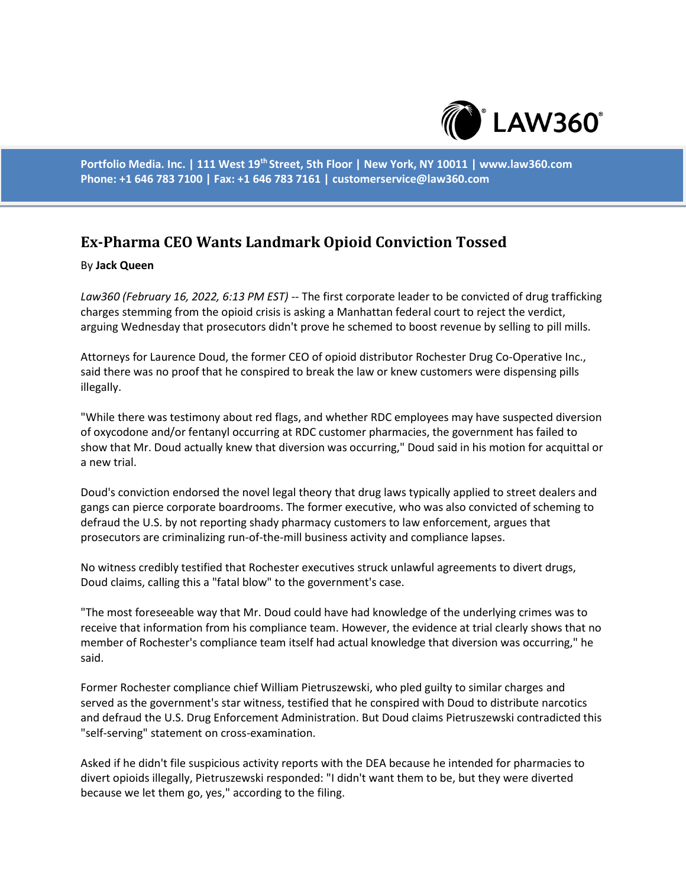

**Portfolio Media. Inc. | 111 West 19th Street, 5th Floor | New York, NY 10011 | www.law360.com Phone: +1 646 783 7100 | Fax: +1 646 783 7161 | customerservice@law360.com**

## **Ex-Pharma CEO Wants Landmark Opioid Conviction Tossed**

## By **Jack Queen**

*Law360 (February 16, 2022, 6:13 PM EST)* -- The first corporate leader to be convicted of drug trafficking charges stemming from the opioid crisis is asking a Manhattan federal court to reject the verdict, arguing Wednesday that prosecutors didn't prove he schemed to boost revenue by selling to pill mills.

Attorneys for Laurence Doud, the former CEO of opioid distributor Rochester Drug Co-Operative Inc., said there was no proof that he conspired to break the law or knew customers were dispensing pills illegally.

"While there was testimony about red flags, and whether RDC employees may have suspected diversion of oxycodone and/or fentanyl occurring at RDC customer pharmacies, the government has failed to show that Mr. Doud actually knew that diversion was occurring," Doud said in his motion for acquittal or a new trial.

Doud's conviction endorsed the novel legal theory that drug laws typically applied to street dealers and gangs can pierce corporate boardrooms. The former executive, who was also convicted of scheming to defraud the U.S. by not reporting shady pharmacy customers to law enforcement, argues that prosecutors are criminalizing run-of-the-mill business activity and compliance lapses.

No witness credibly testified that Rochester executives struck unlawful agreements to divert drugs, Doud claims, calling this a "fatal blow" to the government's case.

"The most foreseeable way that Mr. Doud could have had knowledge of the underlying crimes was to receive that information from his compliance team. However, the evidence at trial clearly shows that no member of Rochester's compliance team itself had actual knowledge that diversion was occurring," he said.

Former Rochester compliance chief William Pietruszewski, who pled guilty to similar charges and served as the government's star witness, testified that he conspired with Doud to distribute narcotics and defraud the U.S. Drug Enforcement Administration. But Doud claims Pietruszewski contradicted this "self-serving" statement on cross-examination.

Asked if he didn't file suspicious activity reports with the DEA because he intended for pharmacies to divert opioids illegally, Pietruszewski responded: "I didn't want them to be, but they were diverted because we let them go, yes," according to the filing.